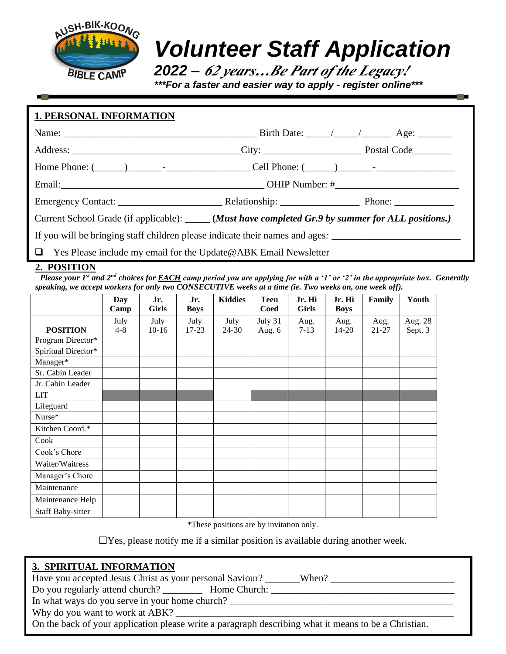

# *Volunteer Staff Application*

*2022 – <sup>62</sup> years…Be Part of the Legacy! \*\*\*For a faster and easier way to apply - register online\*\*\**

| <b>1. PERSONAL INFORMATION</b>                                                                             |  |  |  |  |
|------------------------------------------------------------------------------------------------------------|--|--|--|--|
|                                                                                                            |  |  |  |  |
|                                                                                                            |  |  |  |  |
|                                                                                                            |  |  |  |  |
|                                                                                                            |  |  |  |  |
|                                                                                                            |  |  |  |  |
| Current School Grade (if applicable): ______ (Must have completed Gr.9 by summer for ALL positions.)       |  |  |  |  |
| If you will be bringing staff children please indicate their names and ages. _____________________________ |  |  |  |  |
| $\Box$ Yes Please include my email for the Update @ABK Email Newsletter                                    |  |  |  |  |

## **2. POSITION**

 *Please your 1st and 2nd choices for EACH camp period you are applying for with a '1' or '2' in the appropriate box. Generally speaking, we accept workers for only two CONSECUTIVE weeks at a time (ie. Two weeks on, one week off).*

|                          | Day     | Jr.          | Jr.         | <b>Kiddies</b> | <b>Teen</b> | Jr. Hi   | Jr. Hi      | Family | Youth   |
|--------------------------|---------|--------------|-------------|----------------|-------------|----------|-------------|--------|---------|
|                          | Camp    | <b>Girls</b> | <b>Boys</b> |                | Coed        | Girls    | <b>Boys</b> |        |         |
|                          | July    | July         | July        | July           | July 31     | Aug.     | Aug.        | Aug.   | Aug. 28 |
| <b>POSITION</b>          | $4 - 8$ | $10-16$      | $17 - 23$   | $24 - 30$      | Aug. 6      | $7 - 13$ | $14 - 20$   | 21-27  | Sept. 3 |
| Program Director*        |         |              |             |                |             |          |             |        |         |
| Spiritual Director*      |         |              |             |                |             |          |             |        |         |
| Manager*                 |         |              |             |                |             |          |             |        |         |
| Sr. Cabin Leader         |         |              |             |                |             |          |             |        |         |
| Jr. Cabin Leader         |         |              |             |                |             |          |             |        |         |
| <b>LIT</b>               |         |              |             |                |             |          |             |        |         |
| Lifeguard                |         |              |             |                |             |          |             |        |         |
| Nurse*                   |         |              |             |                |             |          |             |        |         |
| Kitchen Coord.*          |         |              |             |                |             |          |             |        |         |
| Cook                     |         |              |             |                |             |          |             |        |         |
| Cook's Chore             |         |              |             |                |             |          |             |        |         |
| Waiter/Waitress          |         |              |             |                |             |          |             |        |         |
| Manager's Chore          |         |              |             |                |             |          |             |        |         |
| Maintenance              |         |              |             |                |             |          |             |        |         |
| Maintenance Help         |         |              |             |                |             |          |             |        |         |
| <b>Staff Baby-sitter</b> |         |              |             |                |             |          |             |        |         |

\*These positions are by invitation only.

 $\Box$  Yes, please notify me if a similar position is available during another week.

 $When?$ 

### **3. SPIRITUAL INFORMATION**

| Have you accepted Jesus Christ as your personal Saviour? |  |  |
|----------------------------------------------------------|--|--|
|----------------------------------------------------------|--|--|

Do you regularly attend church? Home Church:

In what ways do you serve in your home church?

Why do you want to work at ABK?

On the back of your application please write a paragraph describing what it means to be a Christian.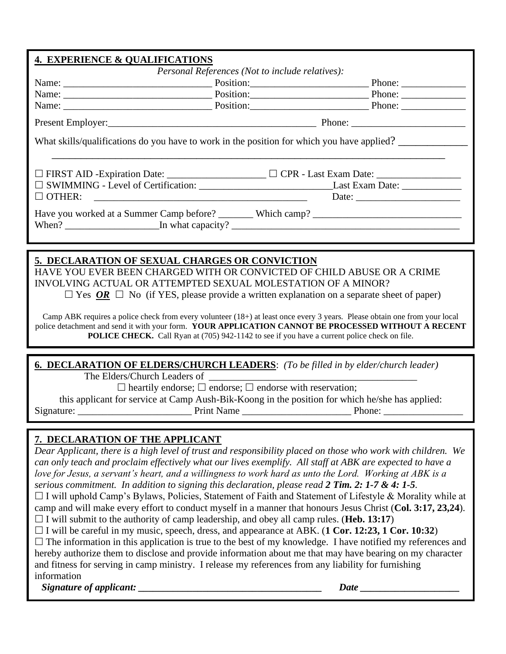| <b>4. EXPERIENCE &amp; QUALIFICATIONS</b>                                                  |  |  |  |  |  |
|--------------------------------------------------------------------------------------------|--|--|--|--|--|
| <i>Personal References (Not to include relatives):</i>                                     |  |  |  |  |  |
|                                                                                            |  |  |  |  |  |
|                                                                                            |  |  |  |  |  |
|                                                                                            |  |  |  |  |  |
|                                                                                            |  |  |  |  |  |
| What skills/qualifications do you have to work in the position for which you have applied? |  |  |  |  |  |
|                                                                                            |  |  |  |  |  |
|                                                                                            |  |  |  |  |  |
| OTHER:                                                                                     |  |  |  |  |  |
|                                                                                            |  |  |  |  |  |

## **5. DECLARATION OF SEXUAL CHARGES OR CONVICTION**

HAVE YOU EVER BEEN CHARGED WITH OR CONVICTED OF CHILD ABUSE OR A CRIME INVOLVING ACTUAL OR ATTEMPTED SEXUAL MOLESTATION OF A MINOR?  $\Box$  Yes  $\overline{OR}$   $\Box$  No (if YES, please provide a written explanation on a separate sheet of paper)

Camp ABK requires a police check from every volunteer (18+) at least once every 3 years. Please obtain one from your local police detachment and send it with your form. **YOUR APPLICATION CANNOT BE PROCESSED WITHOUT A RECENT POLICE CHECK.** Call Ryan at (705) 942-1142 to see if you have a current police check on file.

**6. DECLARATION OF ELDERS/CHURCH LEADERS**: *(To be filled in by elder/church leader)*

The Elders/Church Leaders of

 $\Box$  heartily endorse;  $\Box$  endorse;  $\Box$  endorse with reservation;

this applicant for service at Camp Aush-Bik-Koong in the position for which he/she has applied: Signature: The contract of the Print Name and Phone:  $\frac{1}{2}$  Phone:  $\frac{1}{2}$  Phone:  $\frac{1}{2}$  Phone:  $\frac{1}{2}$  Phone:  $\frac{1}{2}$  Phone:  $\frac{1}{2}$  Phone:  $\frac{1}{2}$  Phone:  $\frac{1}{2}$  Phone:  $\frac{1}{2}$  Phone:  $\frac{1}{2}$  Phone:

## **7. DECLARATION OF THE APPLICANT**

*Dear Applicant, there is a high level of trust and responsibility placed on those who work with children. We can only teach and proclaim effectively what our lives exemplify. All staff at ABK are expected to have a love for Jesus, a servant's heart, and a willingness to work hard as unto the Lord. Working at ABK is a serious commitment. In addition to signing this declaration, please read 2 Tim. 2: 1-7 & 4: 1-5.* 

 $\Box$  I will uphold Camp's Bylaws, Policies, Statement of Faith and Statement of Lifestyle & Morality while at camp and will make every effort to conduct myself in a manner that honours Jesus Christ (**Col. 3:17, 23,24**).  $\Box$  I will submit to the authority of camp leadership, and obey all camp rules. (**Heb. 13:17**)

I will be careful in my music, speech, dress, and appearance at ABK. (**1 Cor. 12:23, 1 Cor. 10:32**)

 $\Box$  The information in this application is true to the best of my knowledge. I have notified my references and hereby authorize them to disclose and provide information about me that may have bearing on my character and fitness for serving in camp ministry. I release my references from any liability for furnishing information

*Signature of applicant: \_\_\_\_\_\_\_\_\_\_\_\_\_\_\_\_\_\_\_\_\_\_\_\_\_\_\_\_\_\_\_\_\_\_\_\_\_ Date \_\_\_\_\_\_\_\_\_\_\_\_\_\_\_\_\_\_\_\_*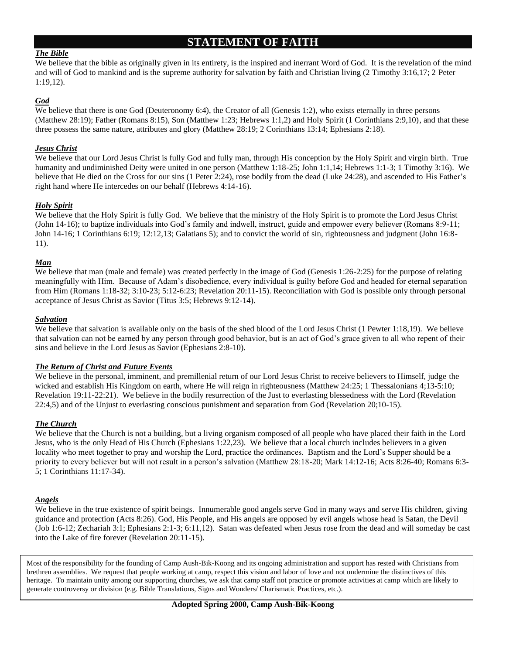## **STATEMENT OF FAITH**

#### *The Bible*

We believe that the bible as originally given in its entirety, is the inspired and inerrant Word of God. It is the revelation of the mind and will of God to mankind and is the supreme authority for salvation by faith and Christian living (2 Timothy 3:16,17; 2 Peter 1:19,12).

#### *God*

We believe that there is one God (Deuteronomy 6:4), the Creator of all (Genesis 1:2), who exists eternally in three persons (Matthew 28:19); Father (Romans 8:15), Son (Matthew 1:23; Hebrews 1:1,2) and Holy Spirit (1 Corinthians 2:9,10), and that these three possess the same nature, attributes and glory (Matthew 28:19; 2 Corinthians 13:14; Ephesians 2:18).

#### *Jesus Christ*

We believe that our Lord Jesus Christ is fully God and fully man, through His conception by the Holy Spirit and virgin birth. True humanity and undiminished Deity were united in one person (Matthew 1:18-25; John 1:1,14; Hebrews 1:1-3; 1 Timothy 3:16). We believe that He died on the Cross for our sins (1 Peter 2:24), rose bodily from the dead (Luke 24:28), and ascended to His Father's right hand where He intercedes on our behalf (Hebrews 4:14-16).

#### *Holy Spirit*

We believe that the Holy Spirit is fully God. We believe that the ministry of the Holy Spirit is to promote the Lord Jesus Christ (John 14-16); to baptize individuals into God's family and indwell, instruct, guide and empower every believer (Romans 8:9-11; John 14-16; 1 Corinthians 6:19; 12:12,13; Galatians 5); and to convict the world of sin, righteousness and judgment (John 16:8- 11).

#### *Man*

We believe that man (male and female) was created perfectly in the image of God (Genesis 1:26-2:25) for the purpose of relating meaningfully with Him. Because of Adam's disobedience, every individual is guilty before God and headed for eternal separation from Him (Romans 1:18-32; 3:10-23; 5:12-6:23; Revelation 20:11-15). Reconciliation with God is possible only through personal acceptance of Jesus Christ as Savior (Titus 3:5; Hebrews 9:12-14).

#### *Salvation*

We believe that salvation is available only on the basis of the shed blood of the Lord Jesus Christ (1 Pewter 1:18,19). We believe that salvation can not be earned by any person through good behavior, but is an act of God's grace given to all who repent of their sins and believe in the Lord Jesus as Savior (Ephesians 2:8-10).

#### *The Return of Christ and Future Events*

We believe in the personal, imminent, and premillenial return of our Lord Jesus Christ to receive believers to Himself, judge the wicked and establish His Kingdom on earth, where He will reign in righteousness (Matthew 24:25; 1 Thessalonians 4;13-5:10; Revelation 19:11-22:21). We believe in the bodily resurrection of the Just to everlasting blessedness with the Lord (Revelation 22:4,5) and of the Unjust to everlasting conscious punishment and separation from God (Revelation 20;10-15).

#### *The Church*

We believe that the Church is not a building, but a living organism composed of all people who have placed their faith in the Lord Jesus, who is the only Head of His Church (Ephesians 1:22,23). We believe that a local church includes believers in a given locality who meet together to pray and worship the Lord, practice the ordinances. Baptism and the Lord's Supper should be a priority to every believer but will not result in a person's salvation (Matthew 28:18-20; Mark 14:12-16; Acts 8:26-40; Romans 6:3- 5; 1 Corinthians 11:17-34).

#### *Angels*

We believe in the true existence of spirit beings. Innumerable good angels serve God in many ways and serve His children, giving guidance and protection (Acts 8:26). God, His People, and His angels are opposed by evil angels whose head is Satan, the Devil (Job 1:6-12; Zechariah 3:1; Ephesians 2:1-3; 6:11,12). Satan was defeated when Jesus rose from the dead and will someday be cast into the Lake of fire forever (Revelation 20:11-15).

Most of the responsibility for the founding of Camp Aush-Bik-Koong and its ongoing administration and support has rested with Christians from brethren assemblies. We request that people working at camp, respect this vision and labor of love and not undermine the distinctives of this heritage. To maintain unity among our supporting churches, we ask that camp staff not practice or promote activities at camp which are likely to generate controversy or division (e.g. Bible Translations, Signs and Wonders/ Charismatic Practices, etc.).